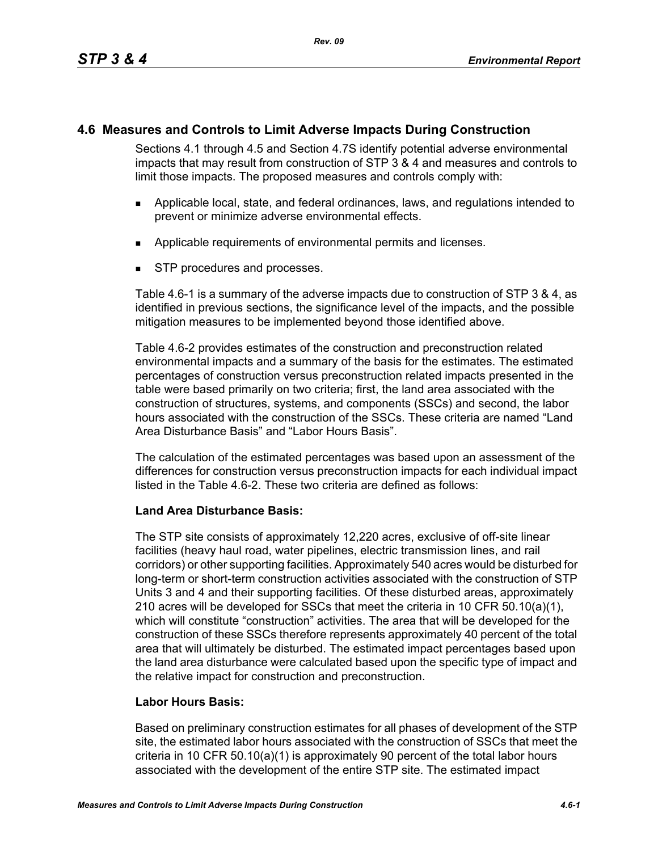# **4.6 Measures and Controls to Limit Adverse Impacts During Construction**

Sections 4.1 through 4.5 and Section 4.7S identify potential adverse environmental impacts that may result from construction of STP 3 & 4 and measures and controls to limit those impacts. The proposed measures and controls comply with:

- Applicable local, state, and federal ordinances, laws, and regulations intended to prevent or minimize adverse environmental effects.
- **Applicable requirements of environmental permits and licenses.**
- STP procedures and processes.

Table 4.6-1 is a summary of the adverse impacts due to construction of STP 3 & 4, as identified in previous sections, the significance level of the impacts, and the possible mitigation measures to be implemented beyond those identified above.

Table 4.6-2 provides estimates of the construction and preconstruction related environmental impacts and a summary of the basis for the estimates. The estimated percentages of construction versus preconstruction related impacts presented in the table were based primarily on two criteria; first, the land area associated with the construction of structures, systems, and components (SSCs) and second, the labor hours associated with the construction of the SSCs. These criteria are named "Land Area Disturbance Basis" and "Labor Hours Basis".

The calculation of the estimated percentages was based upon an assessment of the differences for construction versus preconstruction impacts for each individual impact listed in the Table 4.6-2. These two criteria are defined as follows:

## **Land Area Disturbance Basis:**

The STP site consists of approximately 12,220 acres, exclusive of off-site linear facilities (heavy haul road, water pipelines, electric transmission lines, and rail corridors) or other supporting facilities. Approximately 540 acres would be disturbed for long-term or short-term construction activities associated with the construction of STP Units 3 and 4 and their supporting facilities. Of these disturbed areas, approximately 210 acres will be developed for SSCs that meet the criteria in 10 CFR 50.10(a)(1), which will constitute "construction" activities. The area that will be developed for the construction of these SSCs therefore represents approximately 40 percent of the total area that will ultimately be disturbed. The estimated impact percentages based upon the land area disturbance were calculated based upon the specific type of impact and the relative impact for construction and preconstruction.

## **Labor Hours Basis:**

Based on preliminary construction estimates for all phases of development of the STP site, the estimated labor hours associated with the construction of SSCs that meet the criteria in 10 CFR 50.10(a)(1) is approximately 90 percent of the total labor hours associated with the development of the entire STP site. The estimated impact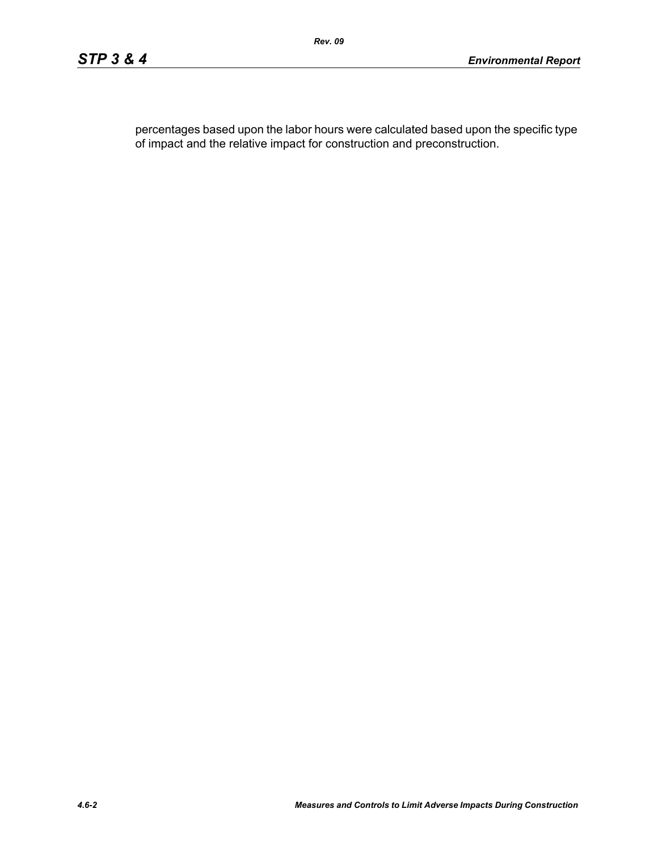percentages based upon the labor hours were calculated based upon the specific type of impact and the relative impact for construction and preconstruction.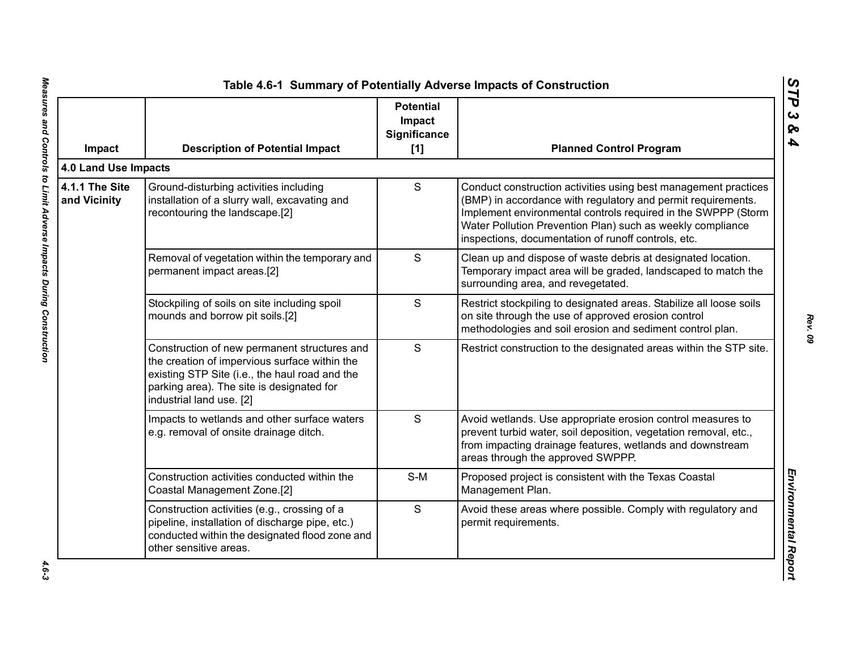| Impact                         | <b>Description of Potential Impact</b>                                                                                                                                                                                   | <b>Potential</b><br>Impact<br>Significance<br>$[1]$ | <b>Planned Control Program</b>                                                                                                                                                                                                                                                                                        |
|--------------------------------|--------------------------------------------------------------------------------------------------------------------------------------------------------------------------------------------------------------------------|-----------------------------------------------------|-----------------------------------------------------------------------------------------------------------------------------------------------------------------------------------------------------------------------------------------------------------------------------------------------------------------------|
| 4.0 Land Use Impacts           |                                                                                                                                                                                                                          |                                                     |                                                                                                                                                                                                                                                                                                                       |
| 4.1.1 The Site<br>and Vicinity | Ground-disturbing activities including<br>installation of a slurry wall, excavating and<br>recontouring the landscape.[2]                                                                                                | S                                                   | Conduct construction activities using best management practices<br>(BMP) in accordance with regulatory and permit requirements.<br>Implement environmental controls required in the SWPPP (Storm<br>Water Pollution Prevention Plan) such as weekly compliance<br>inspections, documentation of runoff controls, etc. |
|                                | Removal of vegetation within the temporary and<br>permanent impact areas.[2]                                                                                                                                             | S                                                   | Clean up and dispose of waste debris at designated location.<br>Temporary impact area will be graded, landscaped to match the<br>surrounding area, and revegetated.                                                                                                                                                   |
|                                | Stockpiling of soils on site including spoil<br>mounds and borrow pit soils.[2]                                                                                                                                          | S                                                   | Restrict stockpiling to designated areas. Stabilize all loose soils<br>on site through the use of approved erosion control<br>methodologies and soil erosion and sediment control plan.                                                                                                                               |
|                                | Construction of new permanent structures and<br>the creation of impervious surface within the<br>existing STP Site (i.e., the haul road and the<br>parking area). The site is designated for<br>industrial land use. [2] | S                                                   | Restrict construction to the designated areas within the STP site.                                                                                                                                                                                                                                                    |
|                                | Impacts to wetlands and other surface waters<br>e.g. removal of onsite drainage ditch.                                                                                                                                   | S                                                   | Avoid wetlands. Use appropriate erosion control measures to<br>prevent turbid water, soil deposition, vegetation removal, etc.,<br>from impacting drainage features, wetlands and downstream<br>areas through the approved SWPPP.                                                                                     |
|                                | Construction activities conducted within the<br>Coastal Management Zone.[2]                                                                                                                                              | $S-M$                                               | Proposed project is consistent with the Texas Coastal<br>Management Plan.                                                                                                                                                                                                                                             |
|                                | Construction activities (e.g., crossing of a<br>pipeline, installation of discharge pipe, etc.)<br>conducted within the designated flood zone and<br>other sensitive areas.                                              | S                                                   | Avoid these areas where possible. Comply with regulatory and<br>permit requirements.                                                                                                                                                                                                                                  |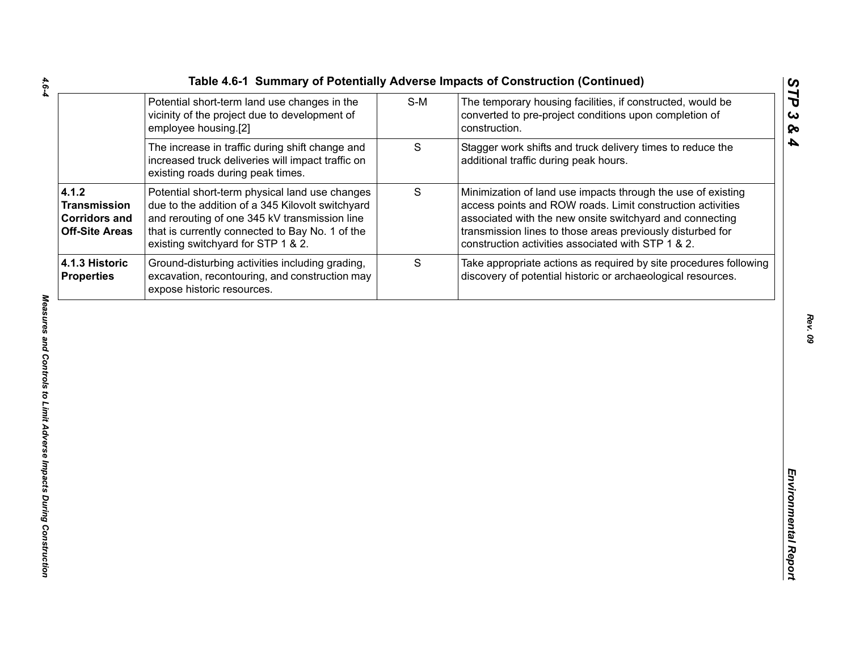|                                               |     | Table 4.6-1 Summary of Potentially Adverse Impacts of Construction (Continued) |
|-----------------------------------------------|-----|--------------------------------------------------------------------------------|
| Potential short-term land use changes in the  | S-M | The temporary housing facilities, if constructed,                              |
| vicinity of the project due to development of |     | converted to pre-project conditions upon comple                                |

|                                                                               | Potential short-term land use changes in the<br>vicinity of the project due to development of<br>employee housing.[2]                                                                                                                        | $S-M$ | The temporary housing facilities, if constructed, would be<br>converted to pre-project conditions upon completion of<br>construction.                                                                                                                                                                      |
|-------------------------------------------------------------------------------|----------------------------------------------------------------------------------------------------------------------------------------------------------------------------------------------------------------------------------------------|-------|------------------------------------------------------------------------------------------------------------------------------------------------------------------------------------------------------------------------------------------------------------------------------------------------------------|
|                                                                               | The increase in traffic during shift change and<br>increased truck deliveries will impact traffic on<br>existing roads during peak times.                                                                                                    | S     | Stagger work shifts and truck delivery times to reduce the<br>additional traffic during peak hours.                                                                                                                                                                                                        |
| 4.1.2<br><b>Transmission</b><br><b>Corridors and</b><br><b>Off-Site Areas</b> | Potential short-term physical land use changes<br>due to the addition of a 345 Kilovolt switchyard<br>and rerouting of one 345 kV transmission line<br>that is currently connected to Bay No. 1 of the<br>existing switchyard for STP 1 & 2. | S     | Minimization of land use impacts through the use of existing<br>access points and ROW roads. Limit construction activities<br>associated with the new onsite switchyard and connecting<br>transmission lines to those areas previously disturbed for<br>construction activities associated with STP 1 & 2. |
| 4.1.3 Historic<br><b>Properties</b>                                           | Ground-disturbing activities including grading,<br>excavation, recontouring, and construction may<br>expose historic resources.                                                                                                              | S     | Take appropriate actions as required by site procedures following<br>discovery of potential historic or archaeological resources.                                                                                                                                                                          |
|                                                                               |                                                                                                                                                                                                                                              |       |                                                                                                                                                                                                                                                                                                            |
|                                                                               |                                                                                                                                                                                                                                              |       |                                                                                                                                                                                                                                                                                                            |
|                                                                               |                                                                                                                                                                                                                                              |       |                                                                                                                                                                                                                                                                                                            |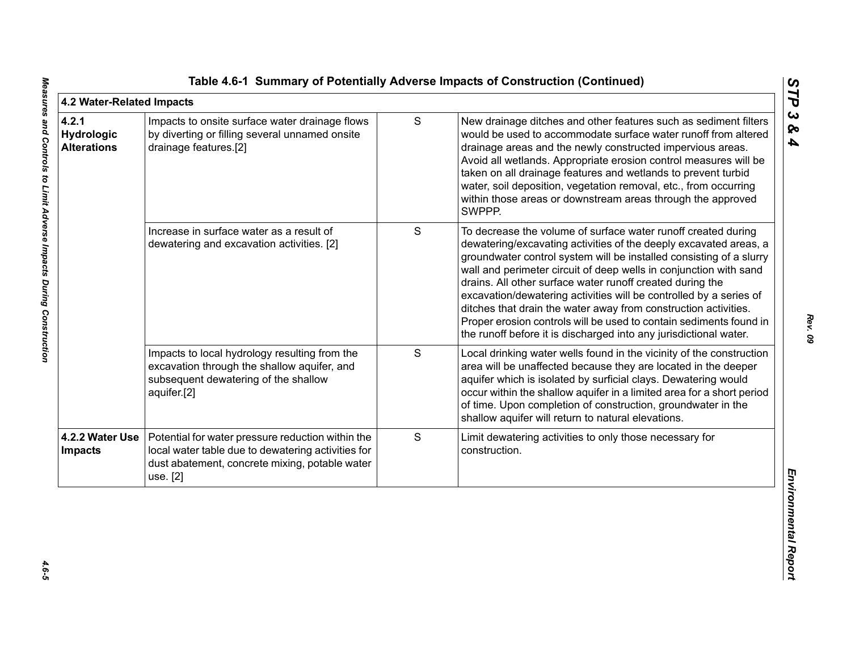| 4.2 Water-Related Impacts                 |                                                                                                                                                                       |   |                                                                                                                                                                                                                                                                                                                                                                                                                                                                                                                                                                                                                                 | STP                               |
|-------------------------------------------|-----------------------------------------------------------------------------------------------------------------------------------------------------------------------|---|---------------------------------------------------------------------------------------------------------------------------------------------------------------------------------------------------------------------------------------------------------------------------------------------------------------------------------------------------------------------------------------------------------------------------------------------------------------------------------------------------------------------------------------------------------------------------------------------------------------------------------|-----------------------------------|
| 4.2.1<br>Hydrologic<br><b>Alterations</b> | Impacts to onsite surface water drainage flows<br>by diverting or filling several unnamed onsite<br>drainage features.[2]                                             | S | New drainage ditches and other features such as sediment filters<br>would be used to accommodate surface water runoff from altered<br>drainage areas and the newly constructed impervious areas.<br>Avoid all wetlands. Appropriate erosion control measures will be<br>taken on all drainage features and wetlands to prevent turbid<br>water, soil deposition, vegetation removal, etc., from occurring<br>within those areas or downstream areas through the approved<br>SWPPP.                                                                                                                                              | $\boldsymbol{\omega}$<br>ଚ୍ଚ<br>4 |
|                                           | Increase in surface water as a result of<br>dewatering and excavation activities. [2]                                                                                 | S | To decrease the volume of surface water runoff created during<br>dewatering/excavating activities of the deeply excavated areas, a<br>groundwater control system will be installed consisting of a slurry<br>wall and perimeter circuit of deep wells in conjunction with sand<br>drains. All other surface water runoff created during the<br>excavation/dewatering activities will be controlled by a series of<br>ditches that drain the water away from construction activities.<br>Proper erosion controls will be used to contain sediments found in<br>the runoff before it is discharged into any jurisdictional water. |                                   |
|                                           | Impacts to local hydrology resulting from the<br>excavation through the shallow aquifer, and<br>subsequent dewatering of the shallow<br>aquifer.[2]                   | S | Local drinking water wells found in the vicinity of the construction<br>area will be unaffected because they are located in the deeper<br>aquifer which is isolated by surficial clays. Dewatering would<br>occur within the shallow aquifer in a limited area for a short period<br>of time. Upon completion of construction, groundwater in the<br>shallow aquifer will return to natural elevations.                                                                                                                                                                                                                         |                                   |
| 4.2.2 Water Use<br><b>Impacts</b>         | Potential for water pressure reduction within the<br>local water table due to dewatering activities for<br>dust abatement, concrete mixing, potable water<br>use. [2] | S | Limit dewatering activities to only those necessary for<br>construction.                                                                                                                                                                                                                                                                                                                                                                                                                                                                                                                                                        | Environmental Repor               |
|                                           |                                                                                                                                                                       |   |                                                                                                                                                                                                                                                                                                                                                                                                                                                                                                                                                                                                                                 |                                   |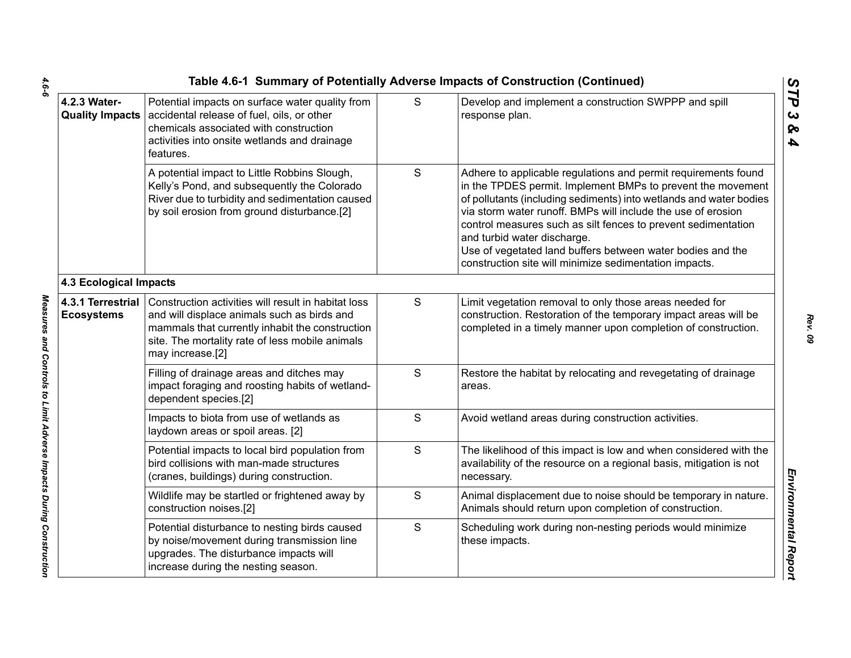|                                        |                                                                                                                                                                                                                              |   | Table 4.6-1 Summary of Potentially Adverse Impacts of Construction (Continued)                                                                                                                                                                                                                                                                                                                                                                                                              |
|----------------------------------------|------------------------------------------------------------------------------------------------------------------------------------------------------------------------------------------------------------------------------|---|---------------------------------------------------------------------------------------------------------------------------------------------------------------------------------------------------------------------------------------------------------------------------------------------------------------------------------------------------------------------------------------------------------------------------------------------------------------------------------------------|
| 4.2.3 Water-                           | Potential impacts on surface water quality from<br>Quality Impacts   accidental release of fuel, oils, or other<br>chemicals associated with construction<br>activities into onsite wetlands and drainage<br>features.       | S | Develop and implement a construction SWPPP and spill<br>response plan.                                                                                                                                                                                                                                                                                                                                                                                                                      |
|                                        | A potential impact to Little Robbins Slough,<br>Kelly's Pond, and subsequently the Colorado<br>River due to turbidity and sedimentation caused<br>by soil erosion from ground disturbance.[2]                                | S | Adhere to applicable regulations and permit requirements found<br>in the TPDES permit. Implement BMPs to prevent the movement<br>of pollutants (including sediments) into wetlands and water bodies<br>via storm water runoff. BMPs will include the use of erosion<br>control measures such as silt fences to prevent sedimentation<br>and turbid water discharge.<br>Use of vegetated land buffers between water bodies and the<br>construction site will minimize sedimentation impacts. |
| <b>4.3 Ecological Impacts</b>          |                                                                                                                                                                                                                              |   |                                                                                                                                                                                                                                                                                                                                                                                                                                                                                             |
| 4.3.1 Terrestrial<br><b>Ecosystems</b> | Construction activities will result in habitat loss<br>and will displace animals such as birds and<br>mammals that currently inhabit the construction<br>site. The mortality rate of less mobile animals<br>may increase.[2] | S | Limit vegetation removal to only those areas needed for<br>construction. Restoration of the temporary impact areas will be<br>completed in a timely manner upon completion of construction.                                                                                                                                                                                                                                                                                                 |
|                                        | Filling of drainage areas and ditches may<br>impact foraging and roosting habits of wetland-<br>dependent species.[2]                                                                                                        | S | Restore the habitat by relocating and revegetating of drainage<br>areas.                                                                                                                                                                                                                                                                                                                                                                                                                    |
|                                        | Impacts to biota from use of wetlands as<br>laydown areas or spoil areas. [2]                                                                                                                                                | S | Avoid wetland areas during construction activities.                                                                                                                                                                                                                                                                                                                                                                                                                                         |
|                                        | Potential impacts to local bird population from<br>bird collisions with man-made structures<br>(cranes, buildings) during construction.                                                                                      | S | The likelihood of this impact is low and when considered with the<br>availability of the resource on a regional basis, mitigation is not<br>necessary.                                                                                                                                                                                                                                                                                                                                      |
|                                        | Wildlife may be startled or frightened away by<br>construction noises.[2]                                                                                                                                                    | S | Animal displacement due to noise should be temporary in nature.<br>Animals should return upon completion of construction.                                                                                                                                                                                                                                                                                                                                                                   |
|                                        | Potential disturbance to nesting birds caused<br>by noise/movement during transmission line<br>upgrades. The disturbance impacts will<br>increase during the nesting season.                                                 | S | Scheduling work during non-nesting periods would minimize<br>these impacts.                                                                                                                                                                                                                                                                                                                                                                                                                 |
|                                        |                                                                                                                                                                                                                              |   |                                                                                                                                                                                                                                                                                                                                                                                                                                                                                             |

 $4.6 - 6$ *4.6-6 Measures and Controls to Limit Adverse Impacts During Construction* 

Measures and Controls to Limit Adverse Impacts During Construction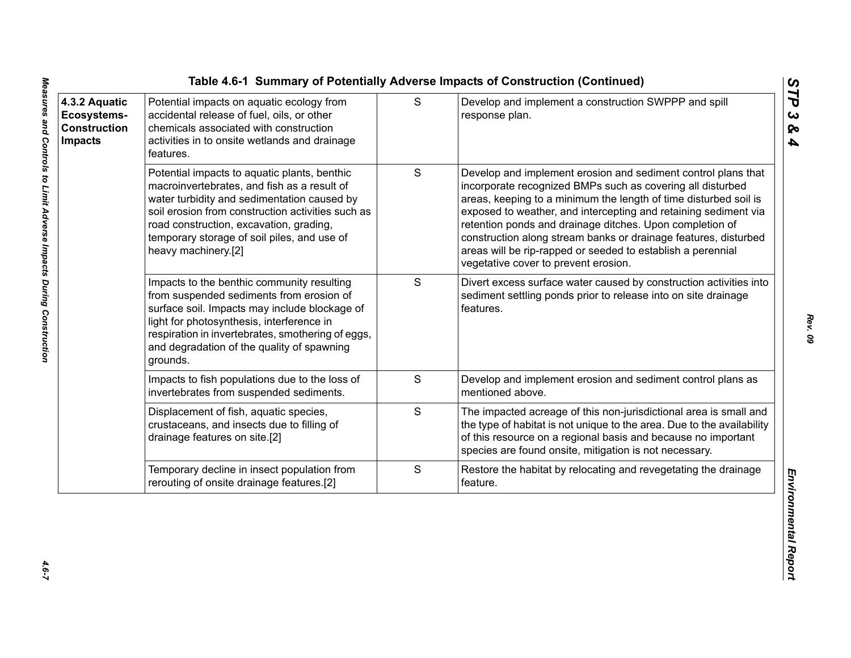| 4.3.2 Aquatic<br>Ecosystems-<br><b>Construction</b><br><b>Impacts</b> | Potential impacts on aquatic ecology from<br>accidental release of fuel, oils, or other<br>chemicals associated with construction<br>activities in to onsite wetlands and drainage<br>features.                                                                                                                  | S             | Develop and implement a construction SWPPP and spill<br>response plan.                                                                                                                                                                                                                                                                                                                                                                                                                                   |
|-----------------------------------------------------------------------|------------------------------------------------------------------------------------------------------------------------------------------------------------------------------------------------------------------------------------------------------------------------------------------------------------------|---------------|----------------------------------------------------------------------------------------------------------------------------------------------------------------------------------------------------------------------------------------------------------------------------------------------------------------------------------------------------------------------------------------------------------------------------------------------------------------------------------------------------------|
|                                                                       | Potential impacts to aquatic plants, benthic<br>macroinvertebrates, and fish as a result of<br>water turbidity and sedimentation caused by<br>soil erosion from construction activities such as<br>road construction, excavation, grading,<br>temporary storage of soil piles, and use of<br>heavy machinery.[2] | ${\mathsf S}$ | Develop and implement erosion and sediment control plans that<br>incorporate recognized BMPs such as covering all disturbed<br>areas, keeping to a minimum the length of time disturbed soil is<br>exposed to weather, and intercepting and retaining sediment via<br>retention ponds and drainage ditches. Upon completion of<br>construction along stream banks or drainage features, disturbed<br>areas will be rip-rapped or seeded to establish a perennial<br>vegetative cover to prevent erosion. |
|                                                                       | Impacts to the benthic community resulting<br>from suspended sediments from erosion of<br>surface soil. Impacts may include blockage of<br>light for photosynthesis, interference in<br>respiration in invertebrates, smothering of eggs,<br>and degradation of the quality of spawning<br>grounds.              | S             | Divert excess surface water caused by construction activities into<br>sediment settling ponds prior to release into on site drainage<br>features.                                                                                                                                                                                                                                                                                                                                                        |
|                                                                       | Impacts to fish populations due to the loss of<br>invertebrates from suspended sediments.                                                                                                                                                                                                                        | S             | Develop and implement erosion and sediment control plans as<br>mentioned above.                                                                                                                                                                                                                                                                                                                                                                                                                          |
|                                                                       | Displacement of fish, aquatic species,<br>crustaceans, and insects due to filling of<br>drainage features on site.[2]                                                                                                                                                                                            | S             | The impacted acreage of this non-jurisdictional area is small and<br>the type of habitat is not unique to the area. Due to the availability<br>of this resource on a regional basis and because no important<br>species are found onsite, mitigation is not necessary.                                                                                                                                                                                                                                   |
|                                                                       | Temporary decline in insect population from<br>rerouting of onsite drainage features.[2]                                                                                                                                                                                                                         | ${\mathsf S}$ | Restore the habitat by relocating and revegetating the drainage<br>feature.                                                                                                                                                                                                                                                                                                                                                                                                                              |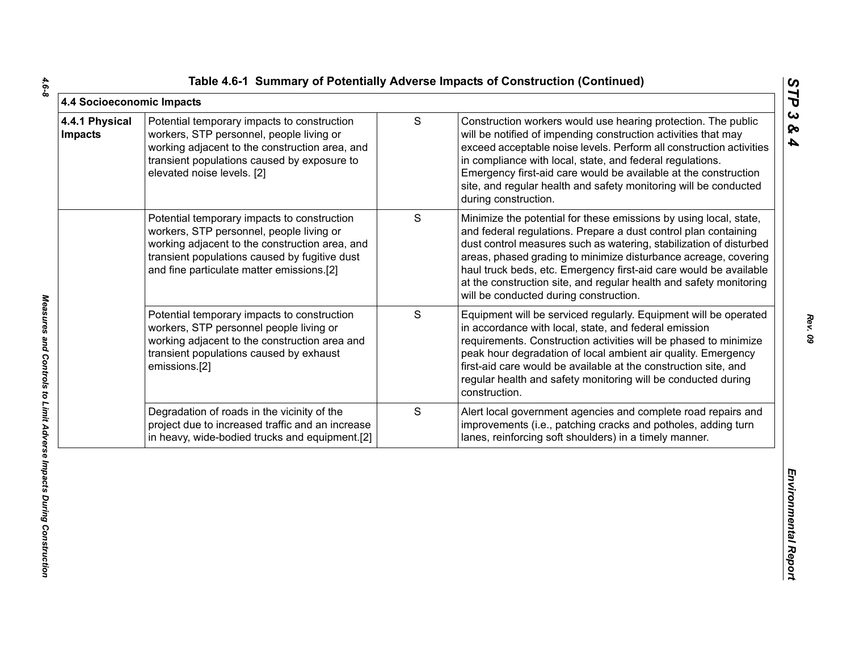|  |  | Table 4.6-1 Summary of Potentially Adverse Impacts of Construction (Continued) |  |  |  |  |
|--|--|--------------------------------------------------------------------------------|--|--|--|--|
|--|--|--------------------------------------------------------------------------------|--|--|--|--|

| 4.4 Socioeconomic Impacts        |                                                                                                                                                                                                                                         |               |                                                                                                                                                                                                                                                                                                                                                                                                                                                                    | STP                                            |
|----------------------------------|-----------------------------------------------------------------------------------------------------------------------------------------------------------------------------------------------------------------------------------------|---------------|--------------------------------------------------------------------------------------------------------------------------------------------------------------------------------------------------------------------------------------------------------------------------------------------------------------------------------------------------------------------------------------------------------------------------------------------------------------------|------------------------------------------------|
| 4.4.1 Physical<br><b>Impacts</b> | Potential temporary impacts to construction<br>workers, STP personnel, people living or<br>working adjacent to the construction area, and<br>transient populations caused by exposure to<br>elevated noise levels. [2]                  | ${\mathsf S}$ | Construction workers would use hearing protection. The public<br>will be notified of impending construction activities that may<br>exceed acceptable noise levels. Perform all construction activities<br>in compliance with local, state, and federal regulations.<br>Emergency first-aid care would be available at the construction<br>site, and regular health and safety monitoring will be conducted<br>during construction.                                 | $\boldsymbol{\omega}$<br>ବ<br>$\blacktriangle$ |
|                                  | Potential temporary impacts to construction<br>workers, STP personnel, people living or<br>working adjacent to the construction area, and<br>transient populations caused by fugitive dust<br>and fine particulate matter emissions.[2] | S             | Minimize the potential for these emissions by using local, state,<br>and federal regulations. Prepare a dust control plan containing<br>dust control measures such as watering, stabilization of disturbed<br>areas, phased grading to minimize disturbance acreage, covering<br>haul truck beds, etc. Emergency first-aid care would be available<br>at the construction site, and regular health and safety monitoring<br>will be conducted during construction. |                                                |
|                                  | Potential temporary impacts to construction<br>workers, STP personnel people living or<br>working adjacent to the construction area and<br>transient populations caused by exhaust<br>emissions.[2]                                     | S             | Equipment will be serviced regularly. Equipment will be operated<br>in accordance with local, state, and federal emission<br>requirements. Construction activities will be phased to minimize<br>peak hour degradation of local ambient air quality. Emergency<br>first-aid care would be available at the construction site, and<br>regular health and safety monitoring will be conducted during<br>construction.                                                |                                                |
|                                  | Degradation of roads in the vicinity of the<br>project due to increased traffic and an increase<br>in heavy, wide-bodied trucks and equipment.[2]                                                                                       | S             | Alert local government agencies and complete road repairs and<br>improvements (i.e., patching cracks and potholes, adding turn<br>lanes, reinforcing soft shoulders) in a timely manner.                                                                                                                                                                                                                                                                           |                                                |
|                                  |                                                                                                                                                                                                                                         |               |                                                                                                                                                                                                                                                                                                                                                                                                                                                                    | Environmental Report                           |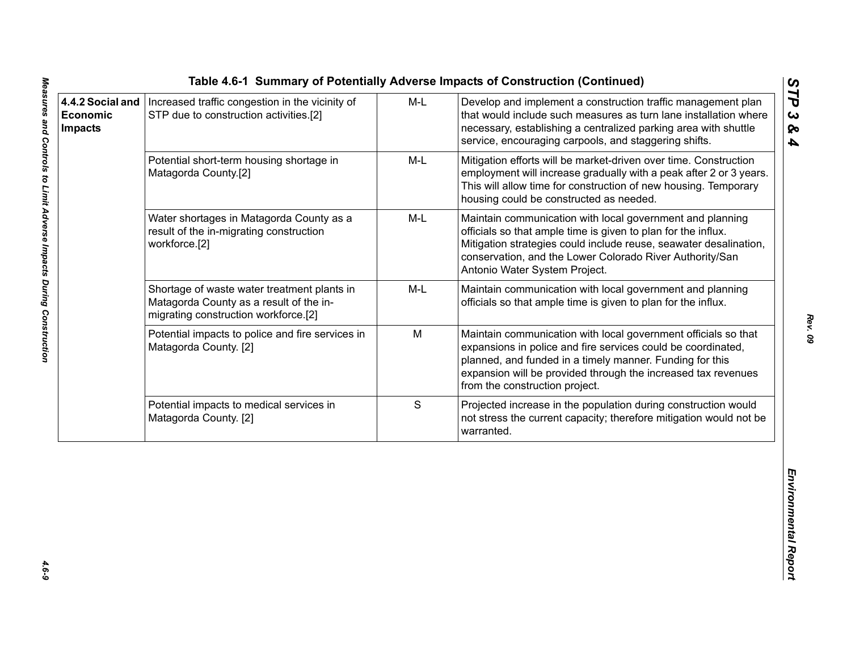|                                                       |                                                                                                                                |       | Table 4.6-1 Summary of Potentially Adverse Impacts of Construction (Continued)                                                                                                                                                                                                                |                                          |
|-------------------------------------------------------|--------------------------------------------------------------------------------------------------------------------------------|-------|-----------------------------------------------------------------------------------------------------------------------------------------------------------------------------------------------------------------------------------------------------------------------------------------------|------------------------------------------|
| 4.4.2 Social and<br><b>Economic</b><br><b>Impacts</b> | Increased traffic congestion in the vicinity of<br>STP due to construction activities.[2]                                      | $M-L$ | Develop and implement a construction traffic management plan<br>that would include such measures as turn lane installation where<br>necessary, establishing a centralized parking area with shuttle<br>service, encouraging carpools, and staggering shifts.                                  | STP<br>$\boldsymbol{\omega}$<br>ନ୍ତ<br>4 |
|                                                       | Potential short-term housing shortage in<br>Matagorda County.[2]                                                               | M-L   | Mitigation efforts will be market-driven over time. Construction<br>employment will increase gradually with a peak after 2 or 3 years.<br>This will allow time for construction of new housing. Temporary<br>housing could be constructed as needed.                                          |                                          |
|                                                       | Water shortages in Matagorda County as a<br>result of the in-migrating construction<br>workforce.[2]                           | M-L   | Maintain communication with local government and planning<br>officials so that ample time is given to plan for the influx.<br>Mitigation strategies could include reuse, seawater desalination,<br>conservation, and the Lower Colorado River Authority/San<br>Antonio Water System Project.  |                                          |
|                                                       | Shortage of waste water treatment plants in<br>Matagorda County as a result of the in-<br>migrating construction workforce.[2] | M-L   | Maintain communication with local government and planning<br>officials so that ample time is given to plan for the influx.                                                                                                                                                                    |                                          |
|                                                       | Potential impacts to police and fire services in<br>Matagorda County. [2]                                                      | M     | Maintain communication with local government officials so that<br>expansions in police and fire services could be coordinated,<br>planned, and funded in a timely manner. Funding for this<br>expansion will be provided through the increased tax revenues<br>from the construction project. |                                          |
|                                                       | Potential impacts to medical services in<br>Matagorda County. [2]                                                              | S     | Projected increase in the population during construction would<br>not stress the current capacity; therefore mitigation would not be<br>warranted.                                                                                                                                            |                                          |
|                                                       |                                                                                                                                |       |                                                                                                                                                                                                                                                                                               | Environmental Report                     |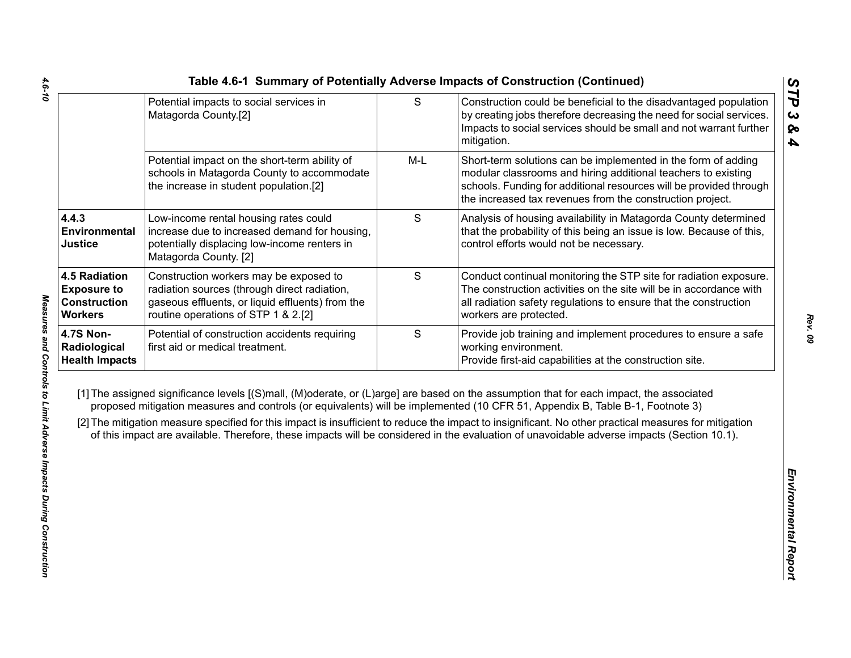|                                                                                     | Potential impacts to social services in<br>Matagorda County.[2]                                                                                                                   | $\mathsf{S}$ | Construction could be beneficial to the disadvantaged population<br>by creating jobs therefore decreasing the need for social services.<br>Impacts to social services should be small and not warrant further<br>mitigation.                                                                                                                                                                                                                                                                                                                                                     |
|-------------------------------------------------------------------------------------|-----------------------------------------------------------------------------------------------------------------------------------------------------------------------------------|--------------|----------------------------------------------------------------------------------------------------------------------------------------------------------------------------------------------------------------------------------------------------------------------------------------------------------------------------------------------------------------------------------------------------------------------------------------------------------------------------------------------------------------------------------------------------------------------------------|
|                                                                                     | Potential impact on the short-term ability of<br>schools in Matagorda County to accommodate<br>the increase in student population.[2]                                             | $M-L$        | Short-term solutions can be implemented in the form of adding<br>modular classrooms and hiring additional teachers to existing<br>schools. Funding for additional resources will be provided through<br>the increased tax revenues from the construction project.                                                                                                                                                                                                                                                                                                                |
| 4.4.3<br>Environmental<br><b>Justice</b>                                            | Low-income rental housing rates could<br>increase due to increased demand for housing,<br>potentially displacing low-income renters in<br>Matagorda County. [2]                   | S            | Analysis of housing availability in Matagorda County determined<br>that the probability of this being an issue is low. Because of this,<br>control efforts would not be necessary.                                                                                                                                                                                                                                                                                                                                                                                               |
| <b>4.5 Radiation</b><br><b>Exposure to</b><br><b>Construction</b><br><b>Workers</b> | Construction workers may be exposed to<br>radiation sources (through direct radiation,<br>gaseous effluents, or liquid effluents) from the<br>routine operations of STP 1 & 2.[2] | S            | Conduct continual monitoring the STP site for radiation exposure.<br>The construction activities on the site will be in accordance with<br>all radiation safety regulations to ensure that the construction<br>workers are protected.                                                                                                                                                                                                                                                                                                                                            |
| <b>4.7S Non-</b><br>Radiological<br><b>Health Impacts</b>                           | Potential of construction accidents requiring<br>first aid or medical treatment.                                                                                                  | S            | Provide job training and implement procedures to ensure a safe<br>working environment.<br>Provide first-aid capabilities at the construction site.                                                                                                                                                                                                                                                                                                                                                                                                                               |
|                                                                                     |                                                                                                                                                                                   |              | [1] The assigned significance levels [(S)mall, (M)oderate, or (L)arge] are based on the assumption that for each impact, the associated<br>proposed mitigation measures and controls (or equivalents) will be implemented (10 CFR 51, Appendix B, Table B-1, Footnote 3)<br>[2] The mitigation measure specified for this impact is insufficient to reduce the impact to insignificant. No other practical measures for mitigation<br>of this impact are available. Therefore, these impacts will be considered in the evaluation of unavoidable adverse impacts (Section 10.1). |
|                                                                                     |                                                                                                                                                                                   |              |                                                                                                                                                                                                                                                                                                                                                                                                                                                                                                                                                                                  |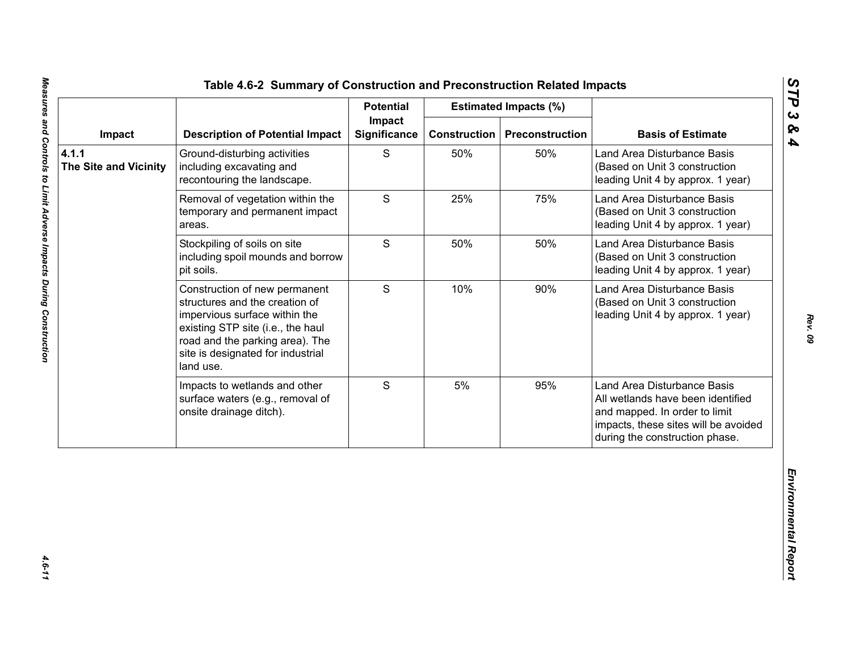|                                       |                                                                                                                                                                                                                            | <b>Potential</b>              |                     | <b>Estimated Impacts (%)</b> |                                                                                                                                                                             |
|---------------------------------------|----------------------------------------------------------------------------------------------------------------------------------------------------------------------------------------------------------------------------|-------------------------------|---------------------|------------------------------|-----------------------------------------------------------------------------------------------------------------------------------------------------------------------------|
| Impact                                | <b>Description of Potential Impact</b>                                                                                                                                                                                     | Impact<br><b>Significance</b> | <b>Construction</b> | <b>Preconstruction</b>       | <b>Basis of Estimate</b>                                                                                                                                                    |
| 4.1.1<br><b>The Site and Vicinity</b> | Ground-disturbing activities<br>including excavating and<br>recontouring the landscape.                                                                                                                                    | S                             | 50%                 | 50%                          | Land Area Disturbance Basis<br>(Based on Unit 3 construction<br>leading Unit 4 by approx. 1 year)                                                                           |
|                                       | Removal of vegetation within the<br>temporary and permanent impact<br>areas.                                                                                                                                               | S                             | 25%                 | 75%                          | Land Area Disturbance Basis<br>(Based on Unit 3 construction<br>leading Unit 4 by approx. 1 year)                                                                           |
|                                       | Stockpiling of soils on site<br>including spoil mounds and borrow<br>pit soils.                                                                                                                                            | S                             | 50%                 | 50%                          | Land Area Disturbance Basis<br>(Based on Unit 3 construction<br>leading Unit 4 by approx. 1 year)                                                                           |
|                                       | Construction of new permanent<br>structures and the creation of<br>impervious surface within the<br>existing STP site (i.e., the haul<br>road and the parking area). The<br>site is designated for industrial<br>land use. | S                             | 10%                 | 90%                          | Land Area Disturbance Basis<br>(Based on Unit 3 construction<br>leading Unit 4 by approx. 1 year)                                                                           |
|                                       | Impacts to wetlands and other<br>surface waters (e.g., removal of<br>onsite drainage ditch).                                                                                                                               | S                             | 5%                  | 95%                          | Land Area Disturbance Basis<br>All wetlands have been identified<br>and mapped. In order to limit<br>impacts, these sites will be avoided<br>during the construction phase. |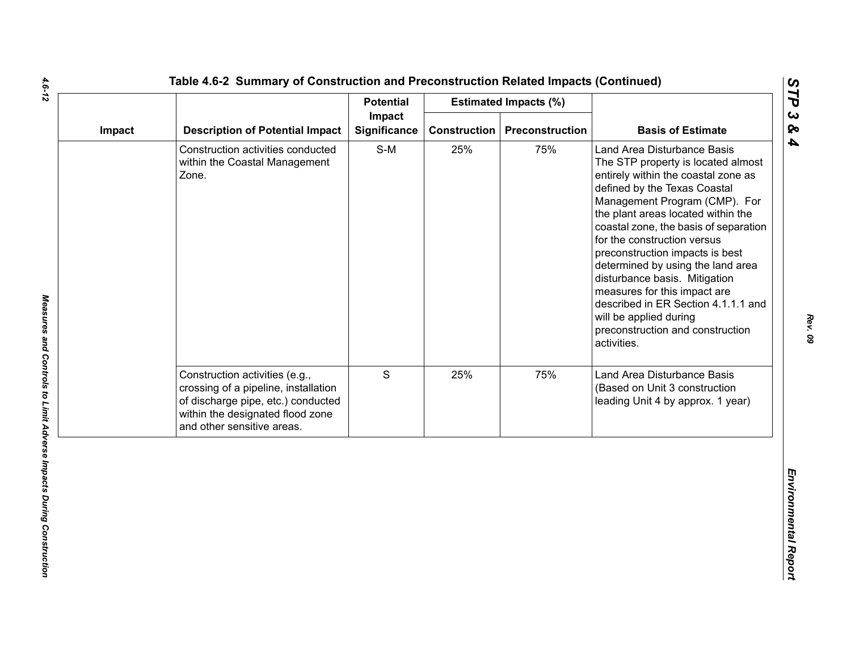|        |                                                                                                                                                                                |                               | <b>Potential</b><br><b>Estimated Impacts (%)</b> |                 |                                                                                                                                                                                                                                                                                                                                                                                                                                                                                                                                                      |  |
|--------|--------------------------------------------------------------------------------------------------------------------------------------------------------------------------------|-------------------------------|--------------------------------------------------|-----------------|------------------------------------------------------------------------------------------------------------------------------------------------------------------------------------------------------------------------------------------------------------------------------------------------------------------------------------------------------------------------------------------------------------------------------------------------------------------------------------------------------------------------------------------------------|--|
| Impact | <b>Description of Potential Impact</b>                                                                                                                                         | Impact<br><b>Significance</b> | <b>Construction</b>                              | Preconstruction | <b>Basis of Estimate</b>                                                                                                                                                                                                                                                                                                                                                                                                                                                                                                                             |  |
|        | Construction activities conducted<br>within the Coastal Management<br>Zone.                                                                                                    | $S-M$                         | 25%                                              | 75%             | Land Area Disturbance Basis<br>The STP property is located almost<br>entirely within the coastal zone as<br>defined by the Texas Coastal<br>Management Program (CMP). For<br>the plant areas located within the<br>coastal zone, the basis of separation<br>for the construction versus<br>preconstruction impacts is best<br>determined by using the land area<br>disturbance basis. Mitigation<br>measures for this impact are<br>described in ER Section 4.1.1.1 and<br>will be applied during<br>preconstruction and construction<br>activities. |  |
|        | Construction activities (e.g.,<br>crossing of a pipeline, installation<br>of discharge pipe, etc.) conducted<br>within the designated flood zone<br>and other sensitive areas. | S                             | 25%                                              | 75%             | Land Area Disturbance Basis<br>(Based on Unit 3 construction<br>leading Unit 4 by approx. 1 year)                                                                                                                                                                                                                                                                                                                                                                                                                                                    |  |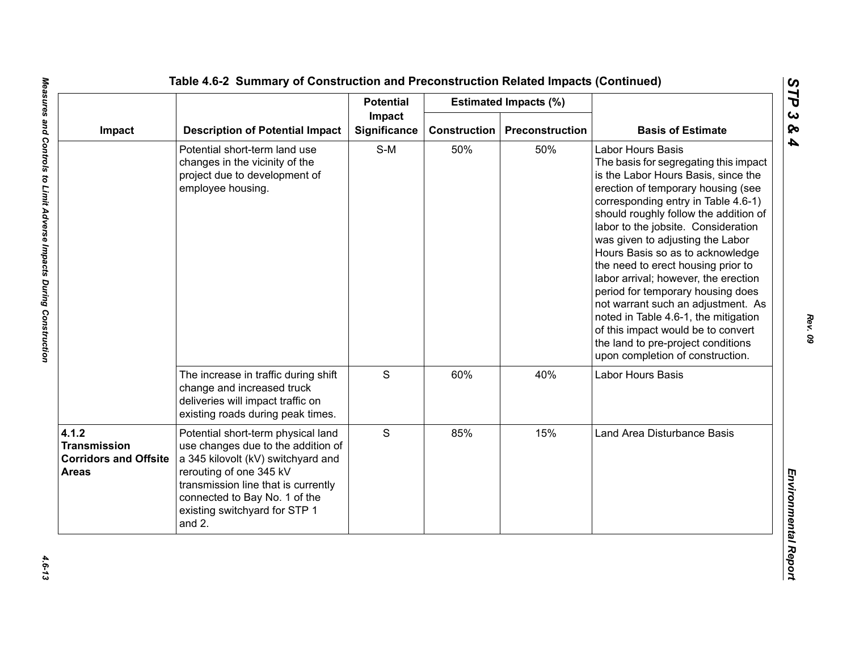|                                                                              |                                                                                                                                                                                                                                                              | <b>Potential</b>              |                     | <b>Estimated Impacts (%)</b> |                                                                                                                                                                                                                                                                                                                                                                                                                                                                                                                                                                                                                                                                |
|------------------------------------------------------------------------------|--------------------------------------------------------------------------------------------------------------------------------------------------------------------------------------------------------------------------------------------------------------|-------------------------------|---------------------|------------------------------|----------------------------------------------------------------------------------------------------------------------------------------------------------------------------------------------------------------------------------------------------------------------------------------------------------------------------------------------------------------------------------------------------------------------------------------------------------------------------------------------------------------------------------------------------------------------------------------------------------------------------------------------------------------|
| Impact                                                                       | <b>Description of Potential Impact</b>                                                                                                                                                                                                                       | Impact<br><b>Significance</b> | <b>Construction</b> | Preconstruction              | <b>Basis of Estimate</b>                                                                                                                                                                                                                                                                                                                                                                                                                                                                                                                                                                                                                                       |
|                                                                              | Potential short-term land use<br>changes in the vicinity of the<br>project due to development of<br>employee housing.                                                                                                                                        | $S-M$                         | 50%                 | 50%                          | <b>Labor Hours Basis</b><br>The basis for segregating this impact<br>is the Labor Hours Basis, since the<br>erection of temporary housing (see<br>corresponding entry in Table 4.6-1)<br>should roughly follow the addition of<br>labor to the jobsite. Consideration<br>was given to adjusting the Labor<br>Hours Basis so as to acknowledge<br>the need to erect housing prior to<br>labor arrival; however, the erection<br>period for temporary housing does<br>not warrant such an adjustment. As<br>noted in Table 4.6-1, the mitigation<br>of this impact would be to convert<br>the land to pre-project conditions<br>upon completion of construction. |
|                                                                              | The increase in traffic during shift<br>change and increased truck<br>deliveries will impact traffic on<br>existing roads during peak times.                                                                                                                 | $\mathsf S$                   | 60%                 | 40%                          | Labor Hours Basis                                                                                                                                                                                                                                                                                                                                                                                                                                                                                                                                                                                                                                              |
| 4.1.2<br><b>Transmission</b><br><b>Corridors and Offsite</b><br><b>Areas</b> | Potential short-term physical land<br>use changes due to the addition of<br>a 345 kilovolt (kV) switchyard and<br>rerouting of one 345 kV<br>transmission line that is currently<br>connected to Bay No. 1 of the<br>existing switchyard for STP 1<br>and 2. | S                             | 85%                 | 15%                          | Land Area Disturbance Basis                                                                                                                                                                                                                                                                                                                                                                                                                                                                                                                                                                                                                                    |

*STP 3 & 4*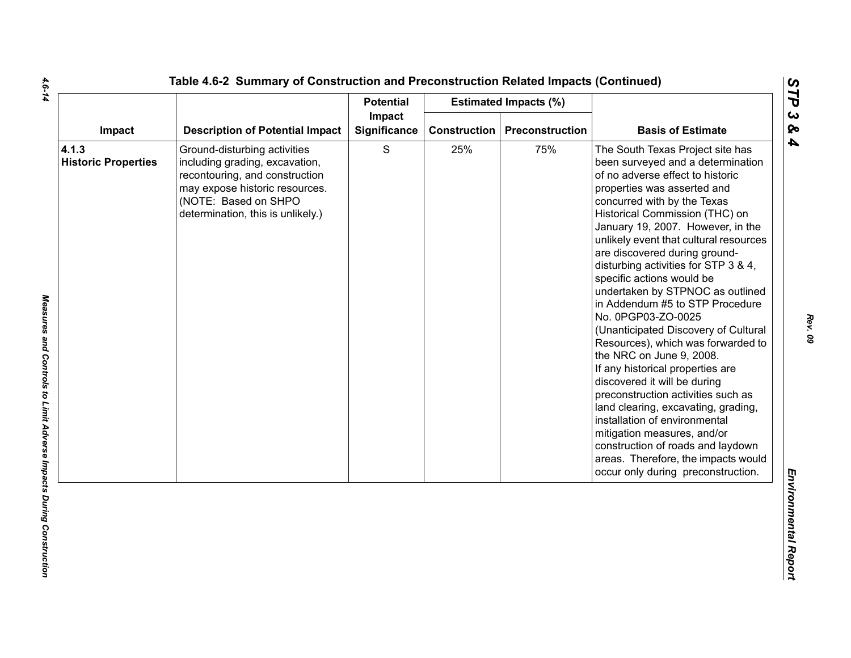|                                     |                                                                                                                                                                                                 | <b>Potential</b>       |              | <b>Estimated Impacts (%)</b> |                                                                                                                                                                                                                                                                                                                                                                                                                                                                                                                                                                                                                                                                                                                                                                                                                                                                                                                                          |
|-------------------------------------|-------------------------------------------------------------------------------------------------------------------------------------------------------------------------------------------------|------------------------|--------------|------------------------------|------------------------------------------------------------------------------------------------------------------------------------------------------------------------------------------------------------------------------------------------------------------------------------------------------------------------------------------------------------------------------------------------------------------------------------------------------------------------------------------------------------------------------------------------------------------------------------------------------------------------------------------------------------------------------------------------------------------------------------------------------------------------------------------------------------------------------------------------------------------------------------------------------------------------------------------|
| Impact                              | <b>Description of Potential Impact</b>                                                                                                                                                          | Impact<br>Significance | Construction | <b>Preconstruction</b>       | <b>Basis of Estimate</b>                                                                                                                                                                                                                                                                                                                                                                                                                                                                                                                                                                                                                                                                                                                                                                                                                                                                                                                 |
| 4.1.3<br><b>Historic Properties</b> | Ground-disturbing activities<br>including grading, excavation,<br>recontouring, and construction<br>may expose historic resources.<br>(NOTE: Based on SHPO<br>determination, this is unlikely.) | $\mathbf S$            | 25%          | 75%                          | The South Texas Project site has<br>been surveyed and a determination<br>of no adverse effect to historic<br>properties was asserted and<br>concurred with by the Texas<br>Historical Commission (THC) on<br>January 19, 2007. However, in the<br>unlikely event that cultural resources<br>are discovered during ground-<br>disturbing activities for STP 3 & 4,<br>specific actions would be<br>undertaken by STPNOC as outlined<br>in Addendum #5 to STP Procedure<br>No. 0PGP03-ZO-0025<br>(Unanticipated Discovery of Cultural<br>Resources), which was forwarded to<br>the NRC on June 9, 2008.<br>If any historical properties are<br>discovered it will be during<br>preconstruction activities such as<br>land clearing, excavating, grading,<br>installation of environmental<br>mitigation measures, and/or<br>construction of roads and laydown<br>areas. Therefore, the impacts would<br>occur only during preconstruction. |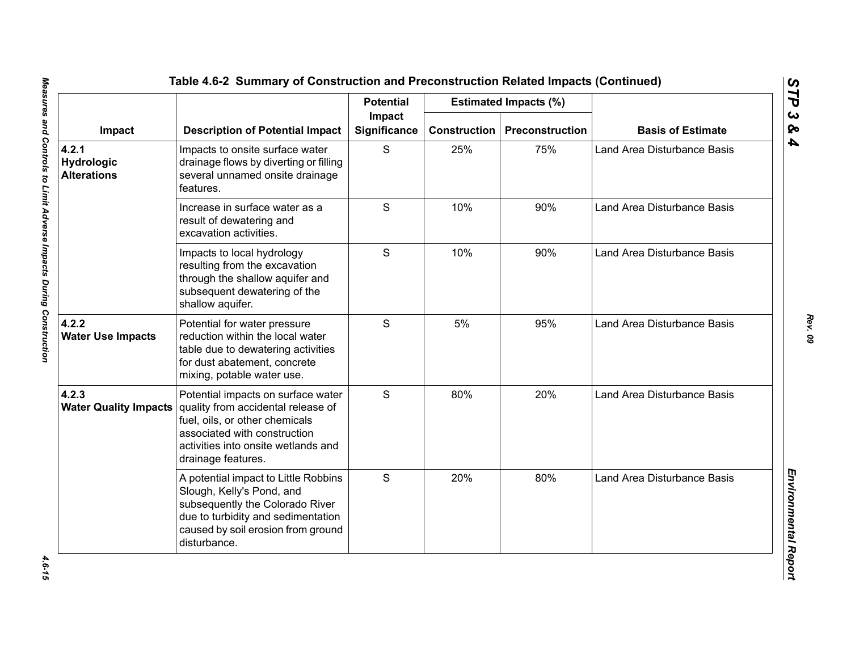|                                           | <b>Description of Potential Impact</b>                                                                                                                                                                  | <b>Potential</b><br>Impact<br><b>Significance</b> |                     | <b>Estimated Impacts (%)</b> | <b>Basis of Estimate</b>    |
|-------------------------------------------|---------------------------------------------------------------------------------------------------------------------------------------------------------------------------------------------------------|---------------------------------------------------|---------------------|------------------------------|-----------------------------|
| Impact                                    |                                                                                                                                                                                                         |                                                   | <b>Construction</b> | Preconstruction              |                             |
| 4.2.1<br>Hydrologic<br><b>Alterations</b> | Impacts to onsite surface water<br>drainage flows by diverting or filling<br>several unnamed onsite drainage<br>features.                                                                               | S                                                 | 25%                 | 75%                          | Land Area Disturbance Basis |
|                                           | Increase in surface water as a<br>result of dewatering and<br>excavation activities.                                                                                                                    | S                                                 | 10%                 | 90%                          | Land Area Disturbance Basis |
|                                           | Impacts to local hydrology<br>resulting from the excavation<br>through the shallow aquifer and<br>subsequent dewatering of the<br>shallow aquifer.                                                      | S                                                 | 10%                 | 90%                          | Land Area Disturbance Basis |
| 4.2.2<br><b>Water Use Impacts</b>         | Potential for water pressure<br>reduction within the local water<br>table due to dewatering activities<br>for dust abatement, concrete<br>mixing, potable water use.                                    | S                                                 | 5%                  | 95%                          | Land Area Disturbance Basis |
| 4.2.3<br><b>Water Quality Impacts</b>     | Potential impacts on surface water<br>quality from accidental release of<br>fuel, oils, or other chemicals<br>associated with construction<br>activities into onsite wetlands and<br>drainage features. | S                                                 | 80%                 | 20%                          | Land Area Disturbance Basis |
|                                           | A potential impact to Little Robbins<br>Slough, Kelly's Pond, and<br>subsequently the Colorado River<br>due to turbidity and sedimentation<br>caused by soil erosion from ground<br>disturbance.        | S                                                 | 20%                 | 80%                          | Land Area Disturbance Basis |

4.6-15

*Rev. 09*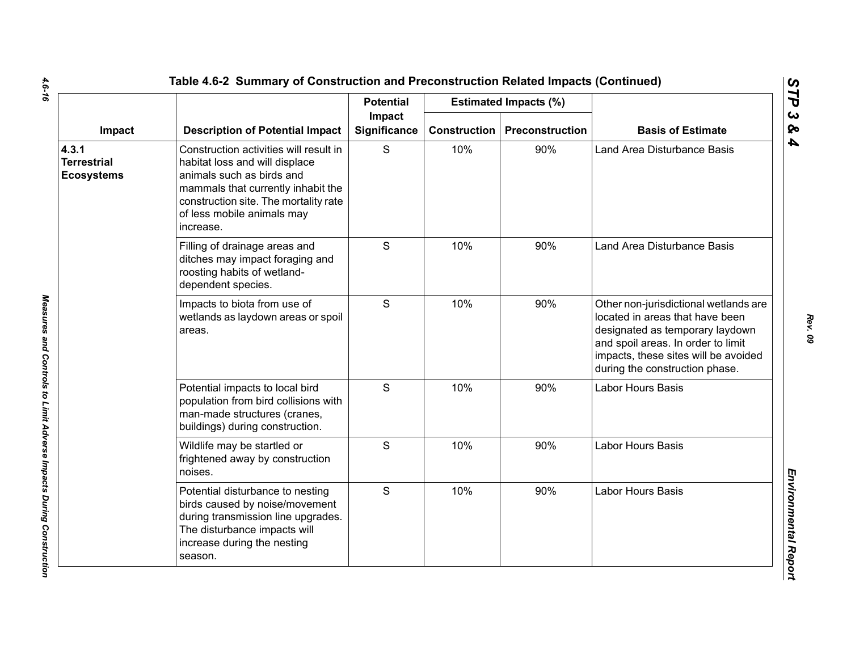|                                                  |                                                                                                                                                                                                                                 | <b>Potential</b>       |                     | <b>Estimated Impacts (%)</b> |                                                                                                                                                                                                                             |
|--------------------------------------------------|---------------------------------------------------------------------------------------------------------------------------------------------------------------------------------------------------------------------------------|------------------------|---------------------|------------------------------|-----------------------------------------------------------------------------------------------------------------------------------------------------------------------------------------------------------------------------|
| Impact                                           | <b>Description of Potential Impact</b>                                                                                                                                                                                          | Impact<br>Significance | <b>Construction</b> | Preconstruction              | <b>Basis of Estimate</b>                                                                                                                                                                                                    |
| 4.3.1<br><b>Terrestrial</b><br><b>Ecosystems</b> | Construction activities will result in<br>habitat loss and will displace<br>animals such as birds and<br>mammals that currently inhabit the<br>construction site. The mortality rate<br>of less mobile animals may<br>increase. | S                      | 10%                 | 90%                          | Land Area Disturbance Basis                                                                                                                                                                                                 |
|                                                  | Filling of drainage areas and<br>ditches may impact foraging and<br>roosting habits of wetland-<br>dependent species.                                                                                                           | S                      | 10%                 | 90%                          | Land Area Disturbance Basis                                                                                                                                                                                                 |
|                                                  | Impacts to biota from use of<br>wetlands as laydown areas or spoil<br>areas.                                                                                                                                                    | S                      | 10%                 | 90%                          | Other non-jurisdictional wetlands are<br>located in areas that have been<br>designated as temporary laydown<br>and spoil areas. In order to limit<br>impacts, these sites will be avoided<br>during the construction phase. |
|                                                  | Potential impacts to local bird<br>population from bird collisions with<br>man-made structures (cranes,<br>buildings) during construction.                                                                                      | S                      | 10%                 | 90%                          | Labor Hours Basis                                                                                                                                                                                                           |
|                                                  | Wildlife may be startled or<br>frightened away by construction<br>noises.                                                                                                                                                       | $\mathsf{S}$           | 10%                 | 90%                          | Labor Hours Basis                                                                                                                                                                                                           |
|                                                  | Potential disturbance to nesting<br>birds caused by noise/movement<br>during transmission line upgrades.<br>The disturbance impacts will<br>increase during the nesting<br>season.                                              | $\mathsf{S}$           | 10%                 | 90%                          | <b>Labor Hours Basis</b>                                                                                                                                                                                                    |

 $\mathbf{r}$ 

*Rev. 09*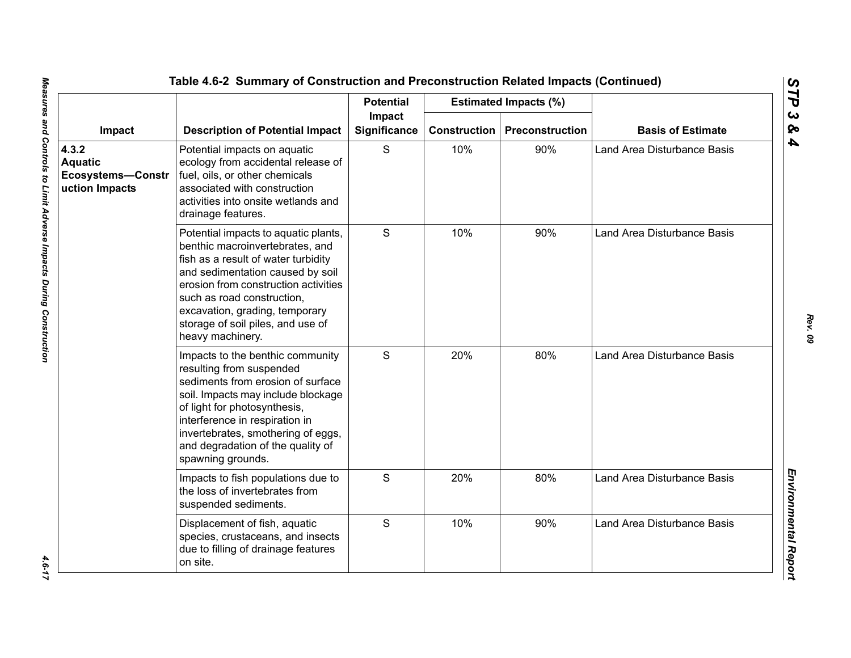|                                                                |                                                                                                                                                                                                                                                                                                                     | <b>Potential</b>              |                     | <b>Estimated Impacts (%)</b> |                             |
|----------------------------------------------------------------|---------------------------------------------------------------------------------------------------------------------------------------------------------------------------------------------------------------------------------------------------------------------------------------------------------------------|-------------------------------|---------------------|------------------------------|-----------------------------|
| Impact                                                         | <b>Description of Potential Impact</b>                                                                                                                                                                                                                                                                              | Impact<br><b>Significance</b> | <b>Construction</b> | Preconstruction              | <b>Basis of Estimate</b>    |
| 4.3.2<br><b>Aquatic</b><br>Ecosystems-Constr<br>uction Impacts | Potential impacts on aquatic<br>ecology from accidental release of<br>fuel, oils, or other chemicals<br>associated with construction<br>activities into onsite wetlands and<br>drainage features.                                                                                                                   | S                             | 10%                 | 90%                          | Land Area Disturbance Basis |
|                                                                | Potential impacts to aquatic plants,<br>benthic macroinvertebrates, and<br>fish as a result of water turbidity<br>and sedimentation caused by soil<br>erosion from construction activities<br>such as road construction,<br>excavation, grading, temporary<br>storage of soil piles, and use of<br>heavy machinery. | S                             | 10%                 | 90%                          | Land Area Disturbance Basis |
|                                                                | Impacts to the benthic community<br>resulting from suspended<br>sediments from erosion of surface<br>soil. Impacts may include blockage<br>of light for photosynthesis,<br>interference in respiration in<br>invertebrates, smothering of eggs,<br>and degradation of the quality of<br>spawning grounds.           | S                             | 20%                 | 80%                          | Land Area Disturbance Basis |
|                                                                | Impacts to fish populations due to<br>the loss of invertebrates from<br>suspended sediments.                                                                                                                                                                                                                        | S                             | 20%                 | 80%                          | Land Area Disturbance Basis |
|                                                                | Displacement of fish, aquatic<br>species, crustaceans, and insects<br>due to filling of drainage features<br>on site.                                                                                                                                                                                               | S                             | 10%                 | 90%                          | Land Area Disturbance Basis |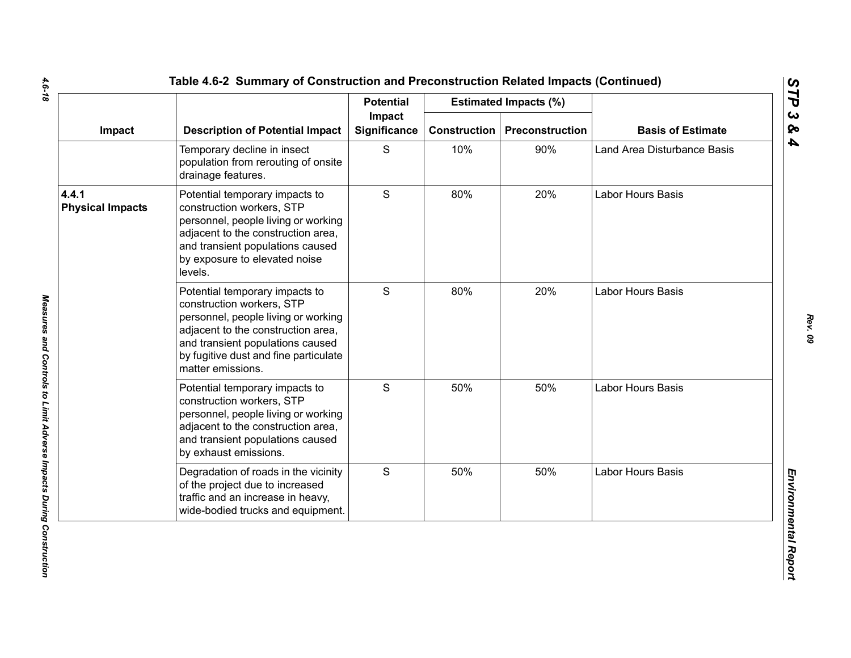|                                  |                                                                                                                                                                                                                                            | <b>Potential</b>              |              | <b>Estimated Impacts (%)</b> |                             |
|----------------------------------|--------------------------------------------------------------------------------------------------------------------------------------------------------------------------------------------------------------------------------------------|-------------------------------|--------------|------------------------------|-----------------------------|
| Impact                           | <b>Description of Potential Impact</b>                                                                                                                                                                                                     | Impact<br><b>Significance</b> | Construction | Preconstruction              | <b>Basis of Estimate</b>    |
|                                  | Temporary decline in insect<br>population from rerouting of onsite<br>drainage features.                                                                                                                                                   | S                             | 10%          | 90%                          | Land Area Disturbance Basis |
| 4.4.1<br><b>Physical Impacts</b> | Potential temporary impacts to<br>construction workers, STP<br>personnel, people living or working<br>adjacent to the construction area,<br>and transient populations caused<br>by exposure to elevated noise<br>levels.                   | S                             | 80%          | 20%                          | Labor Hours Basis           |
|                                  | Potential temporary impacts to<br>construction workers, STP<br>personnel, people living or working<br>adjacent to the construction area,<br>and transient populations caused<br>by fugitive dust and fine particulate<br>matter emissions. | S                             | 80%          | 20%                          | <b>Labor Hours Basis</b>    |
|                                  | Potential temporary impacts to<br>construction workers, STP<br>personnel, people living or working<br>adjacent to the construction area,<br>and transient populations caused<br>by exhaust emissions.                                      | $\mathbf S$                   | 50%          | 50%                          | <b>Labor Hours Basis</b>    |
|                                  | Degradation of roads in the vicinity<br>of the project due to increased<br>traffic and an increase in heavy,<br>wide-bodied trucks and equipment.                                                                                          | S                             | 50%          | 50%                          | Labor Hours Basis           |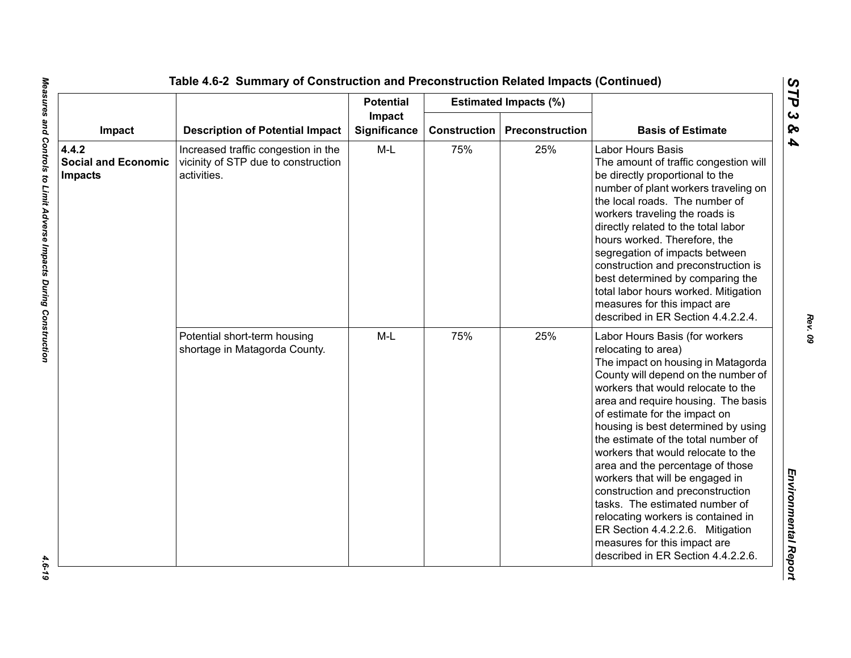|                                                       |                                                                                           | <b>Potential</b>       |     | <b>Estimated Impacts (%)</b>          |                                                                                                                                                                                                                                                                                                                                                                                                                                                                                                                                                                                                                                                                   |
|-------------------------------------------------------|-------------------------------------------------------------------------------------------|------------------------|-----|---------------------------------------|-------------------------------------------------------------------------------------------------------------------------------------------------------------------------------------------------------------------------------------------------------------------------------------------------------------------------------------------------------------------------------------------------------------------------------------------------------------------------------------------------------------------------------------------------------------------------------------------------------------------------------------------------------------------|
| Impact                                                | <b>Description of Potential Impact</b>                                                    | Impact<br>Significance |     | <b>Construction   Preconstruction</b> | <b>Basis of Estimate</b>                                                                                                                                                                                                                                                                                                                                                                                                                                                                                                                                                                                                                                          |
| 4.4.2<br><b>Social and Economic</b><br><b>Impacts</b> | Increased traffic congestion in the<br>vicinity of STP due to construction<br>activities. | M-L                    | 75% | 25%                                   | <b>Labor Hours Basis</b><br>The amount of traffic congestion will<br>be directly proportional to the<br>number of plant workers traveling on<br>the local roads. The number of<br>workers traveling the roads is<br>directly related to the total labor<br>hours worked. Therefore, the<br>segregation of impacts between<br>construction and preconstruction is<br>best determined by comparing the<br>total labor hours worked. Mitigation<br>measures for this impact are<br>described in ER Section 4.4.2.2.4.                                                                                                                                                |
|                                                       | Potential short-term housing<br>shortage in Matagorda County.                             | $M-L$                  | 75% | 25%                                   | Labor Hours Basis (for workers<br>relocating to area)<br>The impact on housing in Matagorda<br>County will depend on the number of<br>workers that would relocate to the<br>area and require housing. The basis<br>of estimate for the impact on<br>housing is best determined by using<br>the estimate of the total number of<br>workers that would relocate to the<br>area and the percentage of those<br>workers that will be engaged in<br>construction and preconstruction<br>tasks. The estimated number of<br>relocating workers is contained in<br>ER Section 4.4.2.2.6. Mitigation<br>measures for this impact are<br>described in ER Section 4.4.2.2.6. |

 $-4.6 - 19$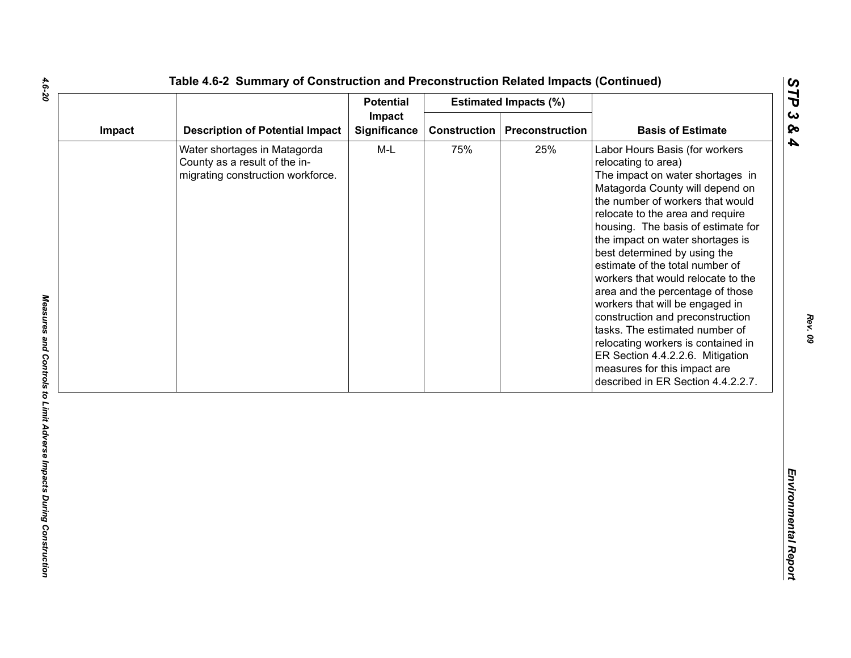| Impact |                                                                                                    | <b>Potential</b>       |                     | <b>Estimated Impacts (%)</b> |                                                                                                                                                                                                                                                                                                                                                                                                                                                                                                                                                                                                                                                                                      |
|--------|----------------------------------------------------------------------------------------------------|------------------------|---------------------|------------------------------|--------------------------------------------------------------------------------------------------------------------------------------------------------------------------------------------------------------------------------------------------------------------------------------------------------------------------------------------------------------------------------------------------------------------------------------------------------------------------------------------------------------------------------------------------------------------------------------------------------------------------------------------------------------------------------------|
|        | <b>Description of Potential Impact</b>                                                             | Impact<br>Significance | <b>Construction</b> | Preconstruction              | <b>Basis of Estimate</b>                                                                                                                                                                                                                                                                                                                                                                                                                                                                                                                                                                                                                                                             |
|        | Water shortages in Matagorda<br>County as a result of the in-<br>migrating construction workforce. | $M-L$                  | 75%                 | 25%                          | Labor Hours Basis (for workers<br>relocating to area)<br>The impact on water shortages in<br>Matagorda County will depend on<br>the number of workers that would<br>relocate to the area and require<br>housing. The basis of estimate for<br>the impact on water shortages is<br>best determined by using the<br>estimate of the total number of<br>workers that would relocate to the<br>area and the percentage of those<br>workers that will be engaged in<br>construction and preconstruction<br>tasks. The estimated number of<br>relocating workers is contained in<br>ER Section 4.4.2.2.6. Mitigation<br>measures for this impact are<br>described in ER Section 4.4.2.2.7. |

*STP 3 & 4*

4.6-20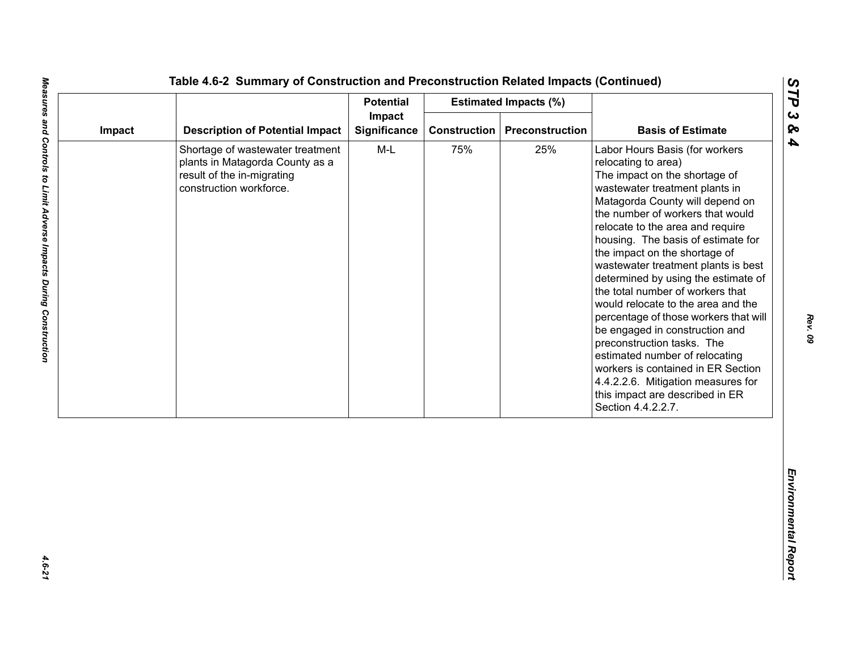| Impact<br><b>Description of Potential Impact</b><br>Significance<br><b>Construction</b><br>Preconstruction<br>Impact<br>$M-L$<br>75%<br>25%<br>Shortage of wastewater treatment<br>plants in Matagorda County as a<br>result of the in-migrating<br>construction workforce. | <b>Basis of Estimate</b><br>Labor Hours Basis (for workers<br>relocating to area)<br>The impact on the shortage of<br>wastewater treatment plants in<br>Matagorda County will depend on<br>the number of workers that would<br>relocate to the area and require                                                                                                                                                                                                                                             |
|-----------------------------------------------------------------------------------------------------------------------------------------------------------------------------------------------------------------------------------------------------------------------------|-------------------------------------------------------------------------------------------------------------------------------------------------------------------------------------------------------------------------------------------------------------------------------------------------------------------------------------------------------------------------------------------------------------------------------------------------------------------------------------------------------------|
|                                                                                                                                                                                                                                                                             |                                                                                                                                                                                                                                                                                                                                                                                                                                                                                                             |
|                                                                                                                                                                                                                                                                             | housing. The basis of estimate for<br>the impact on the shortage of<br>wastewater treatment plants is best<br>determined by using the estimate of<br>the total number of workers that<br>would relocate to the area and the<br>percentage of those workers that will<br>be engaged in construction and<br>preconstruction tasks. The<br>estimated number of relocating<br>workers is contained in ER Section<br>4.4.2.2.6. Mitigation measures for<br>this impact are described in ER<br>Section 4.4.2.2.7. |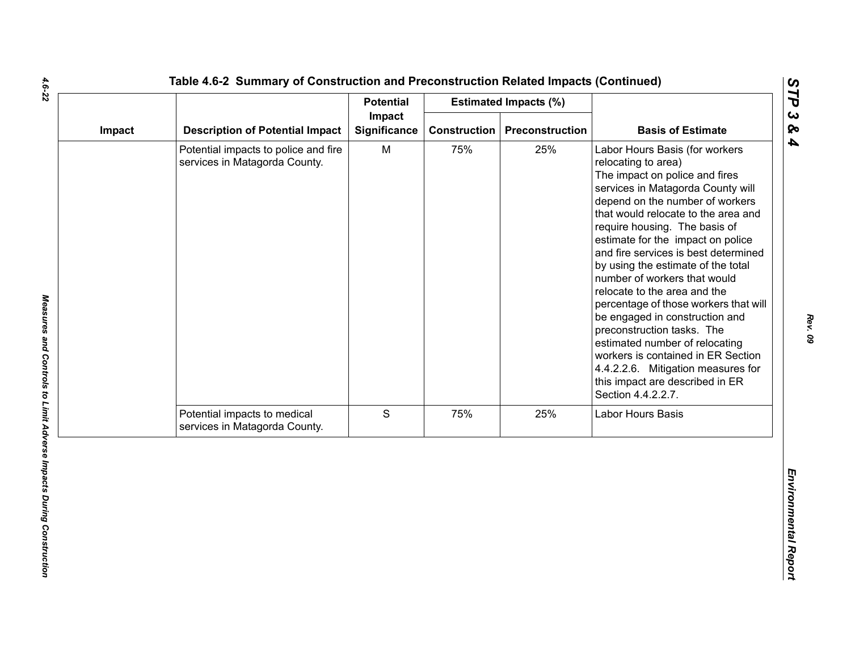|                                                                       | <b>Potential</b>    |                        |                 |                                                                                                                                                                                                                                                                                                                                                                                                                                                                                                                                                                                                                                                                                                            |
|-----------------------------------------------------------------------|---------------------|------------------------|-----------------|------------------------------------------------------------------------------------------------------------------------------------------------------------------------------------------------------------------------------------------------------------------------------------------------------------------------------------------------------------------------------------------------------------------------------------------------------------------------------------------------------------------------------------------------------------------------------------------------------------------------------------------------------------------------------------------------------------|
| Impact<br><b>Description of Potential Impact</b>                      | <b>Significance</b> | <b>Construction</b>    | Preconstruction | <b>Basis of Estimate</b>                                                                                                                                                                                                                                                                                                                                                                                                                                                                                                                                                                                                                                                                                   |
| Potential impacts to police and fire<br>services in Matagorda County. | M                   | 75%                    | 25%             | Labor Hours Basis (for workers<br>relocating to area)<br>The impact on police and fires<br>services in Matagorda County will<br>depend on the number of workers<br>that would relocate to the area and<br>require housing. The basis of<br>estimate for the impact on police<br>and fire services is best determined<br>by using the estimate of the total<br>number of workers that would<br>relocate to the area and the<br>percentage of those workers that will<br>be engaged in construction and<br>preconstruction tasks. The<br>estimated number of relocating<br>workers is contained in ER Section<br>4.4.2.2.6. Mitigation measures for<br>this impact are described in ER<br>Section 4.4.2.2.7. |
| Potential impacts to medical<br>services in Matagorda County.         |                     | 75%                    |                 | Labor Hours Basis                                                                                                                                                                                                                                                                                                                                                                                                                                                                                                                                                                                                                                                                                          |
|                                                                       |                     |                        |                 |                                                                                                                                                                                                                                                                                                                                                                                                                                                                                                                                                                                                                                                                                                            |
|                                                                       |                     | Impact<br>$\mathsf{s}$ |                 | <b>Estimated Impacts (%)</b><br>25%                                                                                                                                                                                                                                                                                                                                                                                                                                                                                                                                                                                                                                                                        |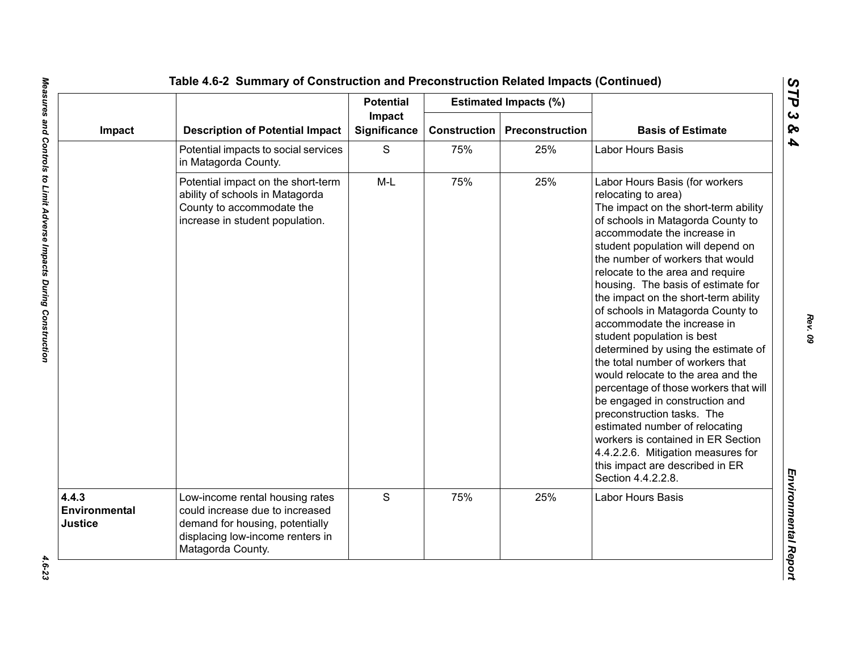|                                   |                                                                                                                                                                | <b>Potential</b>       |                     | <b>Estimated Impacts (%)</b> |                                                                                                                                                                                                                                                                                                                                                                                                                                                                                                                                                                                                                                                                                                                                                                                                                                                                 |
|-----------------------------------|----------------------------------------------------------------------------------------------------------------------------------------------------------------|------------------------|---------------------|------------------------------|-----------------------------------------------------------------------------------------------------------------------------------------------------------------------------------------------------------------------------------------------------------------------------------------------------------------------------------------------------------------------------------------------------------------------------------------------------------------------------------------------------------------------------------------------------------------------------------------------------------------------------------------------------------------------------------------------------------------------------------------------------------------------------------------------------------------------------------------------------------------|
| Impact                            | <b>Description of Potential Impact</b>                                                                                                                         | Impact<br>Significance | <b>Construction</b> | <b>Preconstruction</b>       | <b>Basis of Estimate</b>                                                                                                                                                                                                                                                                                                                                                                                                                                                                                                                                                                                                                                                                                                                                                                                                                                        |
|                                   | Potential impacts to social services<br>in Matagorda County.                                                                                                   | S                      | 75%                 | 25%                          | Labor Hours Basis                                                                                                                                                                                                                                                                                                                                                                                                                                                                                                                                                                                                                                                                                                                                                                                                                                               |
|                                   | Potential impact on the short-term<br>ability of schools in Matagorda<br>County to accommodate the<br>increase in student population.                          | $M-L$                  | 75%                 | 25%                          | Labor Hours Basis (for workers<br>relocating to area)<br>The impact on the short-term ability<br>of schools in Matagorda County to<br>accommodate the increase in<br>student population will depend on<br>the number of workers that would<br>relocate to the area and require<br>housing. The basis of estimate for<br>the impact on the short-term ability<br>of schools in Matagorda County to<br>accommodate the increase in<br>student population is best<br>determined by using the estimate of<br>the total number of workers that<br>would relocate to the area and the<br>percentage of those workers that will<br>be engaged in construction and<br>preconstruction tasks. The<br>estimated number of relocating<br>workers is contained in ER Section<br>4.4.2.2.6. Mitigation measures for<br>this impact are described in ER<br>Section 4.4.2.2.8. |
| 4.4.3<br>Environmental<br>Justice | Low-income rental housing rates<br>could increase due to increased<br>demand for housing, potentially<br>displacing low-income renters in<br>Matagorda County. | S                      | 75%                 | 25%                          | Labor Hours Basis                                                                                                                                                                                                                                                                                                                                                                                                                                                                                                                                                                                                                                                                                                                                                                                                                                               |

*STP 3 & 4*